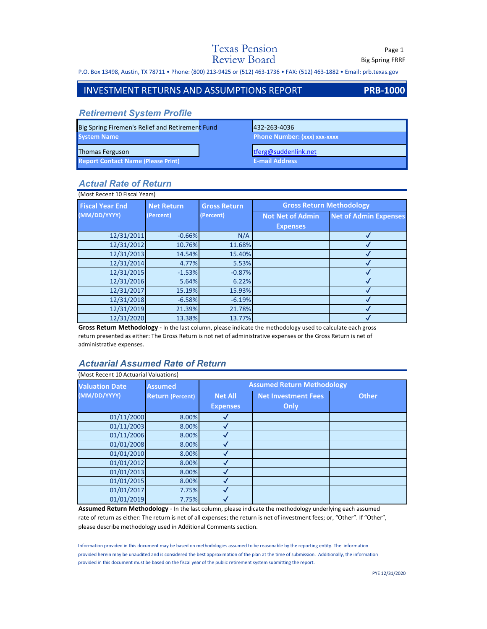## Texas Pension Page 1 Review Board Big Spring FRRF

P.O. Box 13498, Austin, TX 78711 • Phone: (800) 213‐9425 or (512) 463‐1736 • FAX: (512) 463‐1882 • Email: prb.texas.gov

### INVESTMENT RETURNS AND ASSUMPTIONS REPORT **PRB‐1000**

### *Retirement System Profile*

| Big Spring Firemen's Relief and Retirement Fund | 1432-263-4036                  |
|-------------------------------------------------|--------------------------------|
| <b>System Name</b>                              | Phone Number: (xxx) xxx-xxxx / |
| Thomas Ferguson                                 | $there$ etferg@suddenlink.net  |
| <b>Report Contact Name (Please Print)</b>       | <b>E-mail Address</b>          |

## *Actual Rate of Return*

| (Most Recent 10 Fiscal Years) |                   |                     |                                 |                              |
|-------------------------------|-------------------|---------------------|---------------------------------|------------------------------|
| <b>Fiscal Year End</b>        | <b>Net Return</b> | <b>Gross Return</b> | <b>Gross Return Methodology</b> |                              |
| (MM/DD/YYYY)                  | (Percent)         | (Percent)           | <b>Not Net of Admin</b>         | <b>Net of Admin Expenses</b> |
|                               |                   |                     | <b>Expenses</b>                 |                              |
| 12/31/2011                    | $-0.66%$          | N/A                 |                                 |                              |
| 12/31/2012                    | 10.76%            | 11.68%              |                                 |                              |
| 12/31/2013                    | 14.54%            | 15.40%              |                                 |                              |
| 12/31/2014                    | 4.77%             | 5.53%               |                                 |                              |
| 12/31/2015                    | $-1.53%$          | $-0.87%$            |                                 |                              |
| 12/31/2016                    | 5.64%             | 6.22%               |                                 |                              |
| 12/31/2017                    | 15.19%            | 15.93%              |                                 |                              |
| 12/31/2018                    | $-6.58%$          | $-6.19%$            |                                 |                              |
| 12/31/2019                    | 21.39%            | 21.78%              |                                 |                              |
| 12/31/2020                    | 13.38%            | 13.77%              |                                 |                              |

**Gross Return Methodology** ‐ In the last column, please indicate the methodology used to calculate each gross return presented as either: The Gross Return is not net of administrative expenses or the Gross Return is net of administrative expenses.

### *Actuarial Assumed Rate of Return*

| <b>Valuation Date</b> | <b>Assumed</b>          | <b>Assumed Return Methodology</b> |                            |              |
|-----------------------|-------------------------|-----------------------------------|----------------------------|--------------|
| (MM/DD/YYYY)          | <b>Return (Percent)</b> | <b>Net All</b>                    | <b>Net Investment Fees</b> | <b>Other</b> |
|                       |                         | <b>Expenses</b>                   | Only                       |              |
| 01/11/2000            | 8.00%                   |                                   |                            |              |
| 01/11/2003            | 8.00%                   |                                   |                            |              |
| 01/11/2006            | 8.00%                   |                                   |                            |              |
| 01/01/2008            | 8.00%                   |                                   |                            |              |
| 01/01/2010            | 8.00%                   |                                   |                            |              |
| 01/01/2012            | 8.00%                   |                                   |                            |              |
| 01/01/2013            | 8.00%                   |                                   |                            |              |
| 01/01/2015            | 8.00%                   |                                   |                            |              |
| 01/01/2017            | 7.75%                   |                                   |                            |              |
| 01/01/2019            | 7.75%                   |                                   |                            |              |

**Assumed Return Methodology** ‐ In the last column, please indicate the methodology underlying each assumed rate of return as either: The return is net of all expenses; the return is net of investment fees; or, "Other". If "Other", please describe methodology used in Additional Comments section.

Information provided in this document may be based on methodologies assumed to be reasonable by the reporting entity. The information provided herein may be unaudited and is considered the best approximation of the plan at the time of submission. Additionally, the information provided in this document must be based on the fiscal year of the public retirement system submitting the report.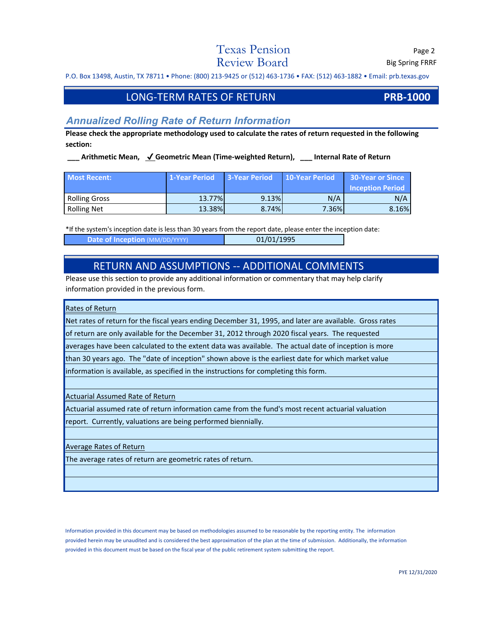## Texas Pension Page 2  $Review$   $Board$  Big Spring FRRF

P.O. Box 13498, Austin, TX 78711 • Phone: (800) 213‐9425 or (512) 463‐1736 • FAX: (512) 463‐1882 • Email: prb.texas.gov

## LONG‐TERM RATES OF RETURN **PRB‐1000**

## *Annualized Rolling Rate of Return Information*

**Please check the appropriate methodology used to calculate the rates of return requested in the following section:** 

**\_\_\_ Arithmetic Mean,** ✔ **Geometric Mean (Time‐weighted Return), \_\_\_ Internal Rate of Return**

| <b>Most Recent:</b>  | 1-Year Period | <b>3-Year Period</b> | 10-Year Period | <b>30-Year or Since</b> |
|----------------------|---------------|----------------------|----------------|-------------------------|
|                      |               |                      |                | <b>Inception Period</b> |
| <b>Rolling Gross</b> | 13.77%        | 9.13%                | N/A            | N/A                     |
| <b>Rolling Net</b>   | 13.38%        | 8.74%                | 7.36%          | 8.16%                   |

\*If the system's inception date is less than 30 years from the report date, please enter the inception date:

**Date of Inception** (MM/DD/YYYY) 01/01/1995

## RETURN AND ASSUMPTIONS ‐‐ ADDITIONAL COMMENTS

Please use this section to provide any additional information or commentary that may help clarify information provided in the previous form.

#### Rates of Return

Net rates of return for the fiscal years ending December 31, 1995, and later are available. Gross rates

of return are only available for the December 31, 2012 through 2020 fiscal years. The requested

averages have been calculated to the extent data was available. The actual date of inception is more

than 30 years ago. The "date of inception" shown above is the earliest date for which market value

information is available, as specified in the instructions for completing this form.

Actuarial Assumed Rate of Return

Actuarial assumed rate of return information came from the fund's most recent actuarial valuation

report. Currently, valuations are being performed biennially.

#### Average Rates of Return

The average rates of return are geometric rates of return.

Information provided in this document may be based on methodologies assumed to be reasonable by the reporting entity. The information provided herein may be unaudited and is considered the best approximation of the plan at the time of submission. Additionally, the information provided in this document must be based on the fiscal year of the public retirement system submitting the report.